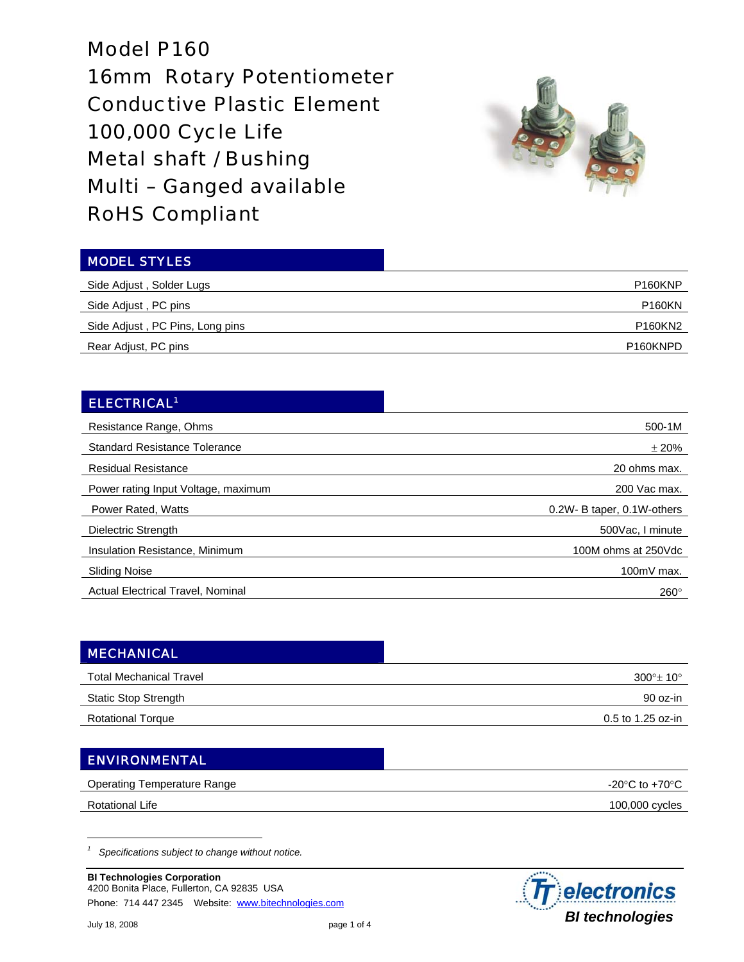Model P160 16mm Rotary Potentiometer Conductive Plastic Element 100,000 Cycle Life Metal shaft / Bushing Multi – Ganged available RoHS Compliant



| <b>MODEL STYLES</b>             |                       |
|---------------------------------|-----------------------|
| Side Adjust, Solder Lugs        | P <sub>160</sub> KNP  |
| Side Adjust, PC pins            | <b>P160KN</b>         |
| Side Adjust, PC Pins, Long pins | P160KN2               |
| Rear Adjust, PC pins            | P <sub>160</sub> KNPD |

## ELECTRICAL1

| Resistance Range, Ohms                   | 500-1M                     |
|------------------------------------------|----------------------------|
| <b>Standard Resistance Tolerance</b>     | ±20%                       |
| <b>Residual Resistance</b>               | 20 ohms max.               |
| Power rating Input Voltage, maximum      | 200 Vac max.               |
| Power Rated, Watts                       | 0.2W- B taper, 0.1W-others |
| Dielectric Strength                      | 500Vac, I minute           |
| Insulation Resistance, Minimum           | 100M ohms at 250Vdc        |
| <b>Sliding Noise</b>                     | $100mV$ max.               |
| <b>Actual Electrical Travel, Nominal</b> | $260^\circ$                |

| <b>MECHANICAL</b>              |                     |
|--------------------------------|---------------------|
| <b>Total Mechanical Travel</b> | $300^{\circ}$ ± 10° |
| <b>Static Stop Strength</b>    | 90 oz-in            |
| <b>Rotational Torque</b>       | 0.5 to 1.25 oz-in   |
|                                |                     |

## ENVIRONMENTAL

| <b>Operating Temperature Range</b> | -20 $\degree$ C to +70 $\degree$ C |
|------------------------------------|------------------------------------|
| Rotational Life                    | 100,000 cycles                     |

*1 Specifications subject to change without notice.* 

**BI Technologies Corporation**  4200 Bonita Place, Fullerton, CA 92835 USA Phone: 714 447 2345 Website: www.bitechnologies.com

 $\overline{a}$ 

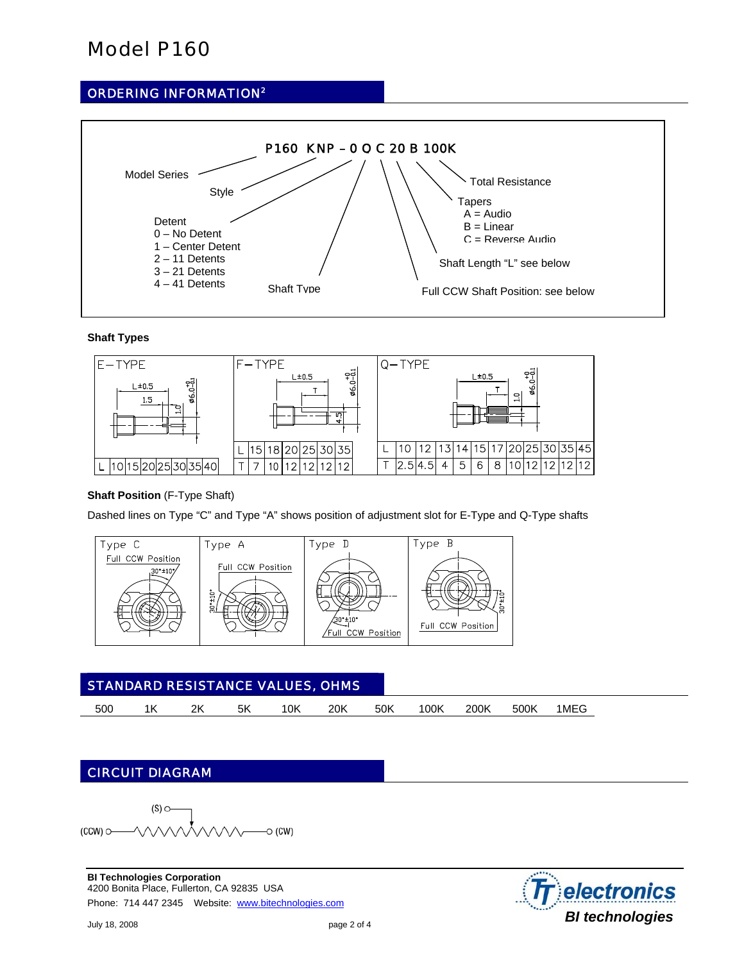# Model P160

## ORDERING INFORMATION2



### **Shaft Types**



### **Shaft Position** (F-Type Shaft)

Dashed lines on Type "C" and Type "A" shows position of adjustment slot for E-Type and Q-Type shafts



| <b>STANDARD RESISTANCE VALUES, OHMS</b> |  |    |  |     |     |     |      |      |      |      |  |
|-----------------------------------------|--|----|--|-----|-----|-----|------|------|------|------|--|
| 500                                     |  | 2k |  | '0K | 20K | 50K | 100K | 200k | 500k | 1MEG |  |

## CIRCUIT DIAGRAM

 $(S)$   $\circ$  $(CCW)$   $\circ$  $\sim$  (CW)

**BI Technologies Corporation**  4200 Bonita Place, Fullerton, CA 92835 USA Phone: 714 447 2345 Website: www.bitechnologies.com

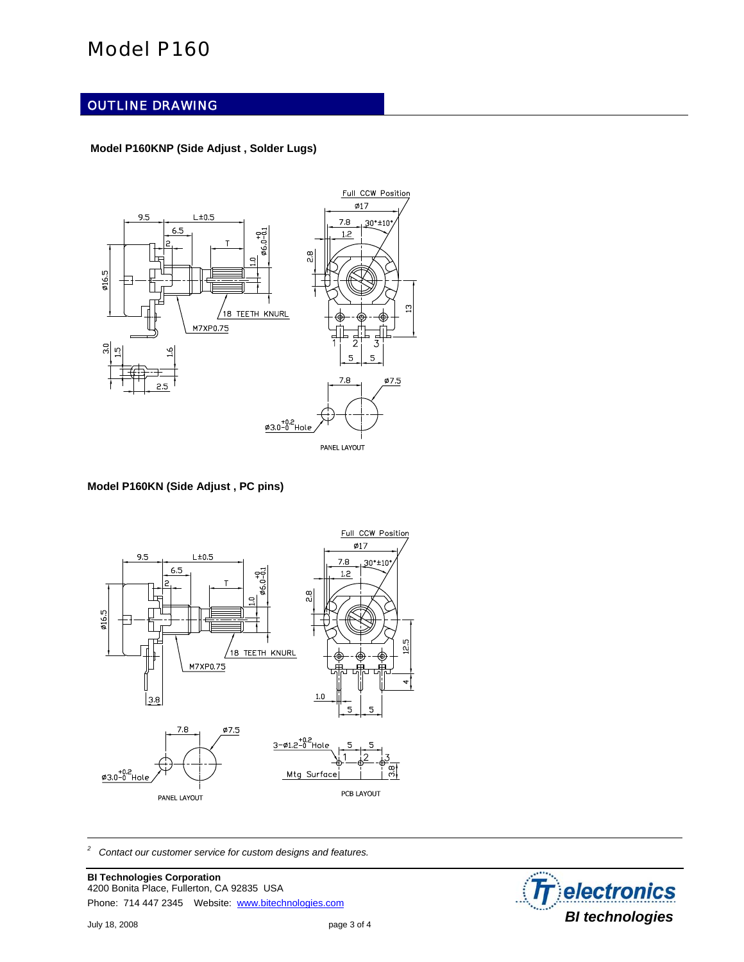## Model P160

### OUTLINE DRAWING

### **Model P160KNP (Side Adjust , Solder Lugs)**



#### **Model P160KN (Side Adjust , PC pins)**



*2 Contact our customer service for custom designs and features.* 

**BI Technologies Corporation**  4200 Bonita Place, Fullerton, CA 92835 USA Phone: 714 447 2345 Website: www.bitechnologies.com

 $\overline{a}$